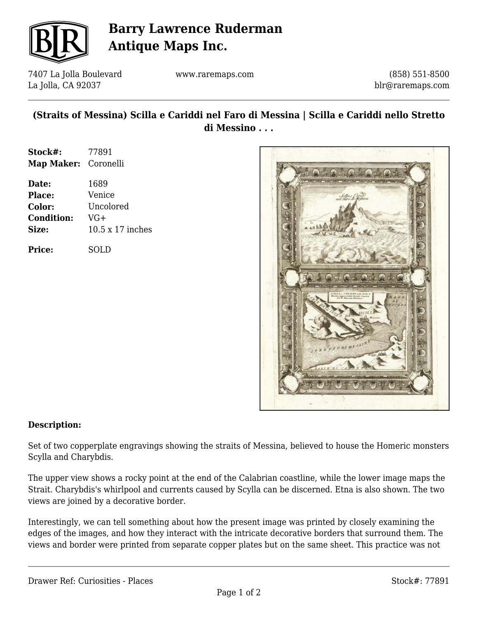

# **Barry Lawrence Ruderman Antique Maps Inc.**

7407 La Jolla Boulevard La Jolla, CA 92037

www.raremaps.com

(858) 551-8500 blr@raremaps.com

## **(Straits of Messina) Scilla e Cariddi nel Faro di Messina | Scilla e Cariddi nello Stretto di Messino . . .**

| Stock#:              | 77891 |
|----------------------|-------|
| Map Maker: Coronelli |       |

| Date:             | 1689             |
|-------------------|------------------|
| <b>Place:</b>     | Venice           |
| Color:            | Uncolored        |
| <b>Condition:</b> | $VG+$            |
| Size:             | 10.5 x 17 inches |
|                   |                  |

**Price:** SOLD



#### **Description:**

Set of two copperplate engravings showing the straits of Messina, believed to house the Homeric monsters Scylla and Charybdis.

The upper view shows a rocky point at the end of the Calabrian coastline, while the lower image maps the Strait. Charybdis's whirlpool and currents caused by Scylla can be discerned. Etna is also shown. The two views are joined by a decorative border.

Interestingly, we can tell something about how the present image was printed by closely examining the edges of the images, and how they interact with the intricate decorative borders that surround them. The views and border were printed from separate copper plates but on the same sheet. This practice was not